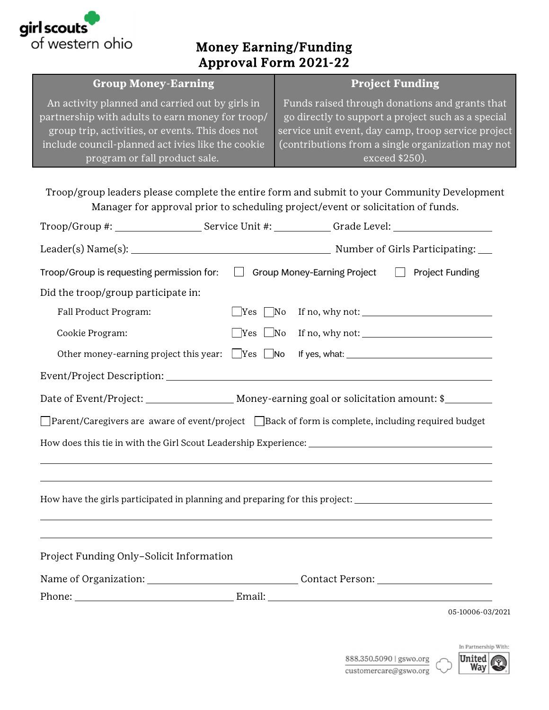

## Money Earning/Funding Approval Form 2021-22

| <b>Group Money-Earning</b>                                 | <b>Project Funding</b>                                       |
|------------------------------------------------------------|--------------------------------------------------------------|
| An activity planned and carried out by girls in $^\dagger$ | Funds raised through donations and grants that               |
| partnership with adults to earn money for troop/           | go directly to support a project such as a special           |
| group trip, activities, or events. This does not           | service unit event, day camp, troop service project          |
| include council-planned act ivies like the cookie          | $\sqrt{2}$ (contributions from a single organization may not |
| program or fall product sale.                              | exceed \$250).                                               |

Troop/group leaders please complete the entire form and submit to your Community Development Manager for approval prior to scheduling project/event or solicitation of funds.

|                                          |  | Troop/Group #: _______________________Service Unit #: ____________Grade Level: _____________________                |  |  |  |  |  |
|------------------------------------------|--|---------------------------------------------------------------------------------------------------------------------|--|--|--|--|--|
|                                          |  |                                                                                                                     |  |  |  |  |  |
|                                          |  | Troop/Group is requesting permission for: $\Box$ Group Money-Earning Project $\Box$ Project Funding                 |  |  |  |  |  |
| Did the troop/group participate in:      |  |                                                                                                                     |  |  |  |  |  |
| Fall Product Program:                    |  | $\Box$ Yes $\Box$ No If no, why not: $\Box$                                                                         |  |  |  |  |  |
| Cookie Program:                          |  | $\Box$ Yes $\Box$ No If no, why not: $\Box$                                                                         |  |  |  |  |  |
|                                          |  | Other money-earning project this year: Ves No If yes, what: 1997 Mondey 2014                                        |  |  |  |  |  |
|                                          |  |                                                                                                                     |  |  |  |  |  |
|                                          |  |                                                                                                                     |  |  |  |  |  |
|                                          |  | $\Box$ Parent/Caregivers are  aware of event/project $\;\;\Box$ Back of form is complete, including required budget |  |  |  |  |  |
|                                          |  |                                                                                                                     |  |  |  |  |  |
|                                          |  | How have the girls participated in planning and preparing for this project:                                         |  |  |  |  |  |
| Project Funding Only-Solicit Information |  |                                                                                                                     |  |  |  |  |  |
|                                          |  |                                                                                                                     |  |  |  |  |  |
|                                          |  | Phone: Email: Email:                                                                                                |  |  |  |  |  |
|                                          |  | 05-10006-03/2021                                                                                                    |  |  |  |  |  |